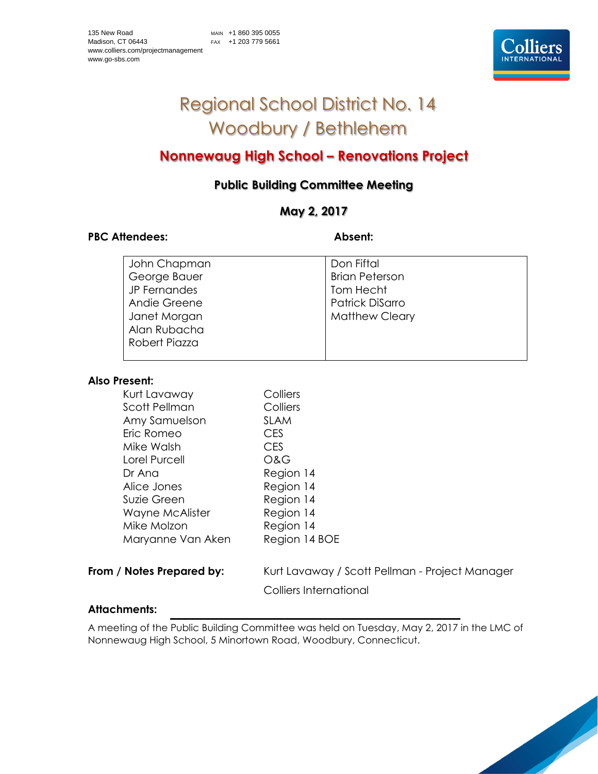# Regional School District No. 14 Woodbury / Bethlehem

# **Nonnewaug High School – Renovations Project**

# **Public Building Committee Meeting**

## **May 2, 2017**

### PBC Attendees: **Absent: Absent:**

| John Chapman  | Don Fiftal            |
|---------------|-----------------------|
| George Bauer  | <b>Brian Peterson</b> |
| JP Fernandes  | Tom Hecht             |
| Andie Greene  | Patrick DiSarro       |
| Janet Morgan  | <b>Matthew Cleary</b> |
| Alan Rubacha  |                       |
| Robert Piazza |                       |
|               |                       |

#### **Also Present:**

| Kurt Lavaway         | Colliers      |
|----------------------|---------------|
| <b>Scott Pellman</b> | Colliers      |
| Amy Samuelson        | <b>SLAM</b>   |
| Eric Romeo           | <b>CES</b>    |
| Mike Walsh           | <b>CES</b>    |
| Lorel Purcell        | O&G           |
| Dr Ana               | Region 14     |
| Alice Jones          | Region 14     |
| Suzie Green          | Region 14     |
| Wayne McAlister      | Region 14     |
| Mike Molzon          | Region 14     |
| Maryanne Van Aken    | Region 14 BOE |
|                      |               |

**From / Notes Prepared by:** Kurt Lavaway / Scott Pellman - Project Manager

Colliers International

### **Attachments:**

A meeting of the Public Building Committee was held on Tuesday, May 2, 2017 in the LMC of Nonnewaug High School, 5 Minortown Road, Woodbury, Connecticut.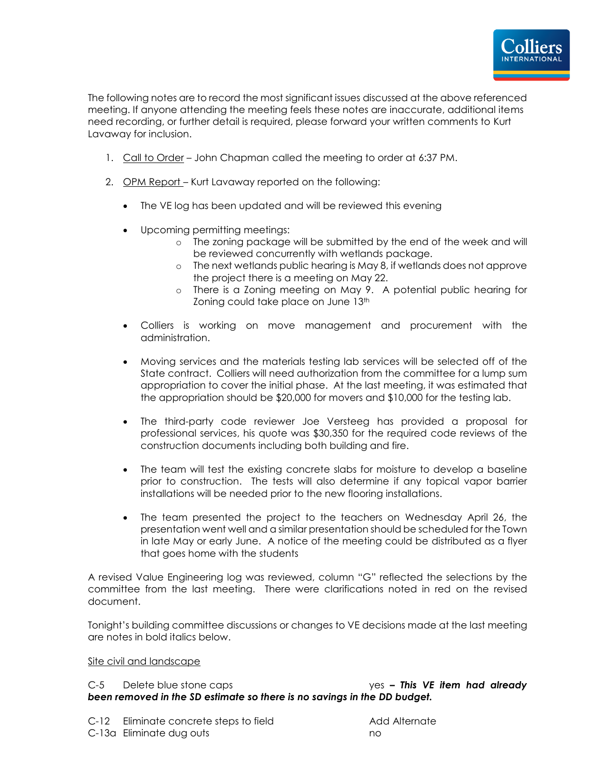

The following notes are to record the most significant issues discussed at the above referenced meeting. If anyone attending the meeting feels these notes are inaccurate, additional items need recording, or further detail is required, please forward your written comments to Kurt Lavaway for inclusion.

- 1. Call to Order John Chapman called the meeting to order at 6:37 PM.
- 2. OPM Report Kurt Lavaway reported on the following:
	- The VE log has been updated and will be reviewed this evening
	- Upcoming permitting meetings:
		- o The zoning package will be submitted by the end of the week and will be reviewed concurrently with wetlands package.
		- o The next wetlands public hearing is May 8, if wetlands does not approve the project there is a meeting on May 22.
		- o There is a Zoning meeting on May 9. A potential public hearing for Zoning could take place on June 13<sup>th</sup>
	- Colliers is working on move management and procurement with the administration.
	- Moving services and the materials testing lab services will be selected off of the State contract. Colliers will need authorization from the committee for a lump sum appropriation to cover the initial phase. At the last meeting, it was estimated that the appropriation should be \$20,000 for movers and \$10,000 for the testing lab.
	- The third-party code reviewer Joe Versteeg has provided a proposal for professional services, his quote was \$30,350 for the required code reviews of the construction documents including both building and fire.
	- The team will test the existing concrete slabs for moisture to develop a baseline prior to construction. The tests will also determine if any topical vapor barrier installations will be needed prior to the new flooring installations.
	- The team presented the project to the teachers on Wednesday April 26, the presentation went well and a similar presentation should be scheduled for the Town in late May or early June. A notice of the meeting could be distributed as a flyer that goes home with the students

A revised Value Engineering log was reviewed, column "G" reflected the selections by the committee from the last meeting. There were clarifications noted in red on the revised document.

Tonight's building committee discussions or changes to VE decisions made at the last meeting are notes in bold italics below.

#### Site civil and landscape

C-5 Delete blue stone caps yes *– This VE item had already been removed in the SD estimate so there is no savings in the DD budget.* 

C-12 Eliminate concrete steps to field Add Alternate C-13a Eliminate dug outs no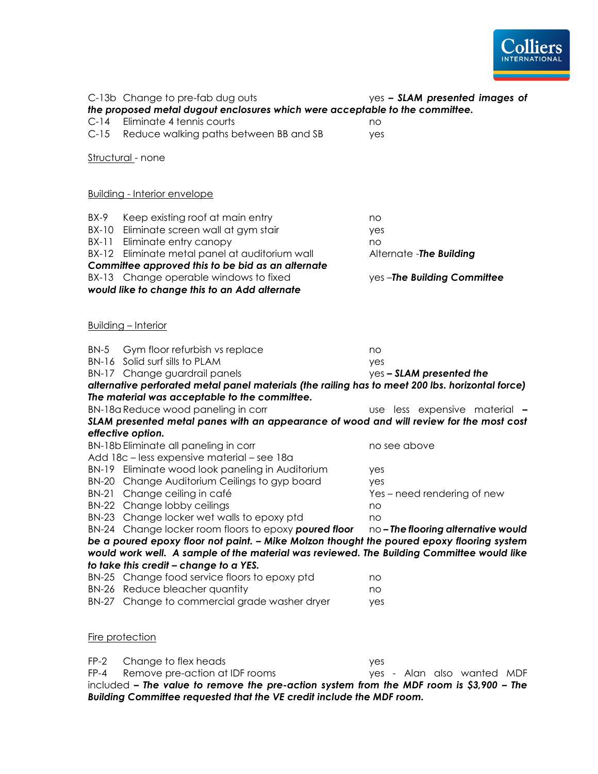

FP-4 Remove pre-action at IDF rooms yes - Alan also wanted MDF included *– The value to remove the pre-action system from the MDF room is \$3,900 – The Building Committee requested that the VE credit include the MDF room.*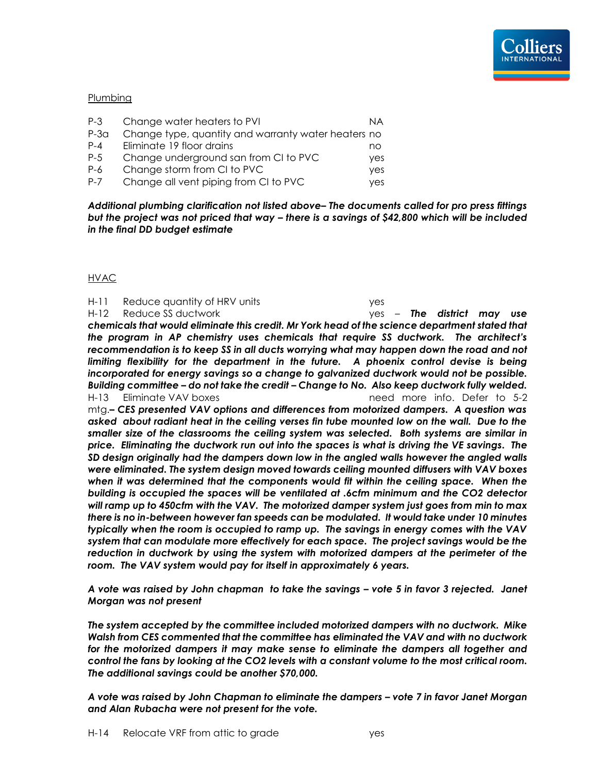#### Plumbing

| $P-3$   | Change water heaters to PVI                         | ΝA  |
|---------|-----------------------------------------------------|-----|
| $P-3a$  | Change type, quantity and warranty water heaters no |     |
| $P - 4$ | Eliminate 19 floor drains                           | no  |
| $P-5$   | Change underground san from CI to PVC               | yes |
| P-6     | Change storm from CI to PVC                         | yes |
| $P - 7$ | Change all vent piping from CI to PVC               | yes |

*Additional plumbing clarification not listed above– The documents called for pro press fittings but the project was not priced that way – there is a savings of \$42,800 which will be included in the final DD budget estimate*

#### HVAC

H-11 Reduce quantity of HRV units yes H-12 Reduce SS ductwork yes – *The district may use chemicals that would eliminate this credit. Mr York head of the science department stated that the program in AP chemistry uses chemicals that require SS ductwork. The architect's recommendation is to keep SS in all ducts worrying what may happen down the road and not limiting flexibility for the department in the future. A phoenix control devise is being incorporated for energy savings so a change to galvanized ductwork would not be possible. Building committee – do not take the credit – Change to No. Also keep ductwork fully welded.* H-13 Eliminate VAV boxes need more info. Defer to 5-2 mtg.*– CES presented VAV options and differences from motorized dampers. A question was asked about radiant heat in the ceiling verses fin tube mounted low on the wall. Due to the smaller size of the classrooms the ceiling system was selected. Both systems are similar in price. Eliminating the ductwork run out into the spaces is what is driving the VE savings. The SD design originally had the dampers down low in the angled walls however the angled walls were eliminated. The system design moved towards ceiling mounted diffusers with VAV boxes when it was determined that the components would fit within the ceiling space. When the building is occupied the spaces will be ventilated at .6cfm minimum and the CO2 detector will ramp up to 450cfm with the VAV. The motorized damper system just goes from min to max there is no in-between however fan speeds can be modulated. It would take under 10 minutes typically when the room is occupied to ramp up. The savings in energy comes with the VAV system that can modulate more effectively for each space. The project savings would be the reduction in ductwork by using the system with motorized dampers at the perimeter of the room. The VAV system would pay for itself in approximately 6 years.* 

*A vote was raised by John chapman to take the savings – vote 5 in favor 3 rejected. Janet Morgan was not present*

*The system accepted by the committee included motorized dampers with no ductwork. Mike Walsh from CES commented that the committee has eliminated the VAV and with no ductwork for the motorized dampers it may make sense to eliminate the dampers all together and control the fans by looking at the CO2 levels with a constant volume to the most critical room. The additional savings could be another \$70,000.*

*A vote was raised by John Chapman to eliminate the dampers – vote 7 in favor Janet Morgan and Alan Rubacha were not present for the vote.*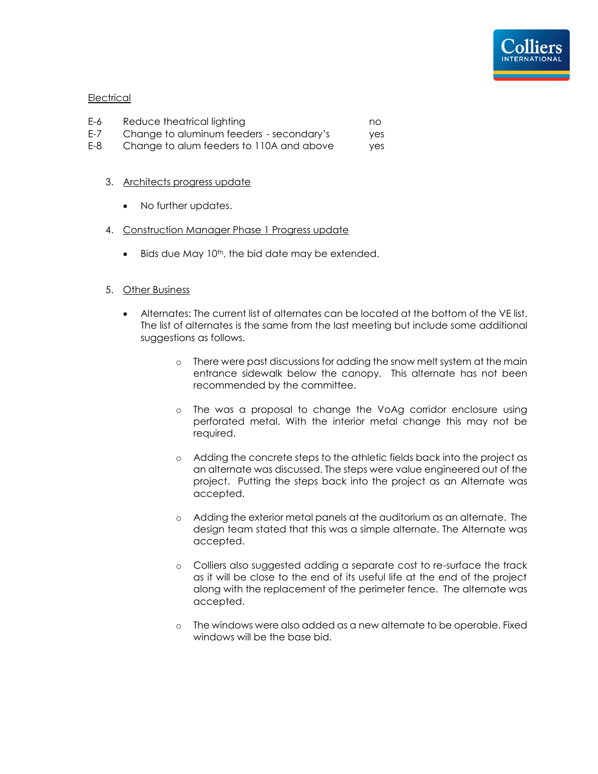

#### **Electrical**

| E-6     | Reduce theatrical lighting               | no. |
|---------|------------------------------------------|-----|
| $E - 7$ | Change to aluminum feeders - secondary's | yes |
| E-8     | Change to alum feeders to 110A and above | yes |

#### 3. Architects progress update

- No further updates.
- 4. Construction Manager Phase 1 Progress update
	- $\bullet$  Bids due May 10<sup>th</sup>, the bid date may be extended.

#### 5. Other Business

- Alternates: The current list of alternates can be located at the bottom of the VE list. The list of alternates is the same from the last meeting but include some additional suggestions as follows.
	- o There were past discussions for adding the snow melt system at the main entrance sidewalk below the canopy. This alternate has not been recommended by the committee.
	- o The was a proposal to change the VoAg corridor enclosure using perforated metal. With the interior metal change this may not be required.
	- o Adding the concrete steps to the athletic fields back into the project as an alternate was discussed. The steps were value engineered out of the project. Putting the steps back into the project as an Alternate was accepted.
	- o Adding the exterior metal panels at the auditorium as an alternate. The design team stated that this was a simple alternate. The Alternate was accepted.
	- o Colliers also suggested adding a separate cost to re-surface the track as it will be close to the end of its useful life at the end of the project along with the replacement of the perimeter fence. The alternate was accepted.
	- o The windows were also added as a new alternate to be operable. Fixed windows will be the base bid.